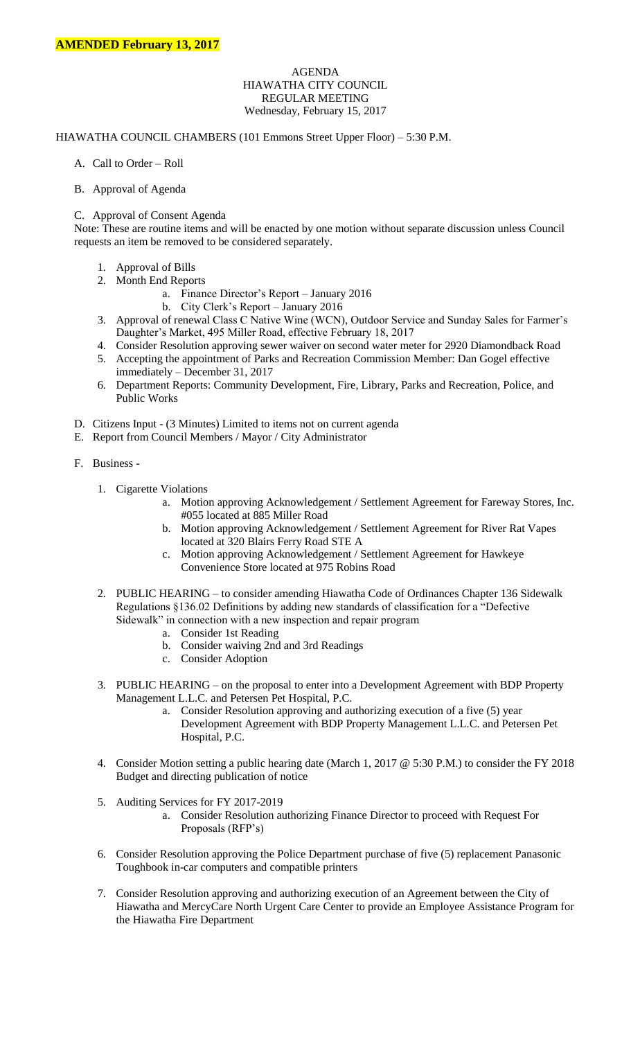## AGENDA HIAWATHA CITY COUNCIL REGULAR MEETING Wednesday, February 15, 2017

## HIAWATHA COUNCIL CHAMBERS (101 Emmons Street Upper Floor) – 5:30 P.M.

- A. Call to Order Roll
- B. Approval of Agenda

## C. Approval of Consent Agenda

Note: These are routine items and will be enacted by one motion without separate discussion unless Council requests an item be removed to be considered separately.

- 1. Approval of Bills
- 2. Month End Reports
	- a. Finance Director's Report January 2016
	- b. City Clerk's Report January 2016
- 3. Approval of renewal Class C Native Wine (WCN), Outdoor Service and Sunday Sales for Farmer's Daughter's Market, 495 Miller Road, effective February 18, 2017
- 4. Consider Resolution approving sewer waiver on second water meter for 2920 Diamondback Road
- 5. Accepting the appointment of Parks and Recreation Commission Member: Dan Gogel effective immediately – December 31, 2017
- 6. Department Reports: Community Development, Fire, Library, Parks and Recreation, Police, and Public Works
- D. Citizens Input (3 Minutes) Limited to items not on current agenda
- E. Report from Council Members / Mayor / City Administrator
- F. Business
	- 1. Cigarette Violations
		- a. Motion approving Acknowledgement / Settlement Agreement for Fareway Stores, Inc. #055 located at 885 Miller Road
		- b. Motion approving Acknowledgement / Settlement Agreement for River Rat Vapes located at 320 Blairs Ferry Road STE A
		- c. Motion approving Acknowledgement / Settlement Agreement for Hawkeye Convenience Store located at 975 Robins Road
	- 2. PUBLIC HEARING to consider amending Hiawatha Code of Ordinances Chapter 136 Sidewalk Regulations §136.02 Definitions by adding new standards of classification for a "Defective Sidewalk" in connection with a new inspection and repair program
		- a. Consider 1st Reading
		- b. Consider waiving 2nd and 3rd Readings
		- c. Consider Adoption
	- 3. PUBLIC HEARING on the proposal to enter into a Development Agreement with BDP Property Management L.L.C. and Petersen Pet Hospital, P.C.
		- a. Consider Resolution approving and authorizing execution of a five (5) year Development Agreement with BDP Property Management L.L.C. and Petersen Pet Hospital, P.C.
	- 4. Consider Motion setting a public hearing date (March 1, 2017 @ 5:30 P.M.) to consider the FY 2018 Budget and directing publication of notice
	- 5. Auditing Services for FY 2017-2019
		- a. Consider Resolution authorizing Finance Director to proceed with Request For Proposals (RFP's)
	- 6. Consider Resolution approving the Police Department purchase of five (5) replacement Panasonic Toughbook in-car computers and compatible printers
	- 7. Consider Resolution approving and authorizing execution of an Agreement between the City of Hiawatha and MercyCare North Urgent Care Center to provide an Employee Assistance Program for the Hiawatha Fire Department